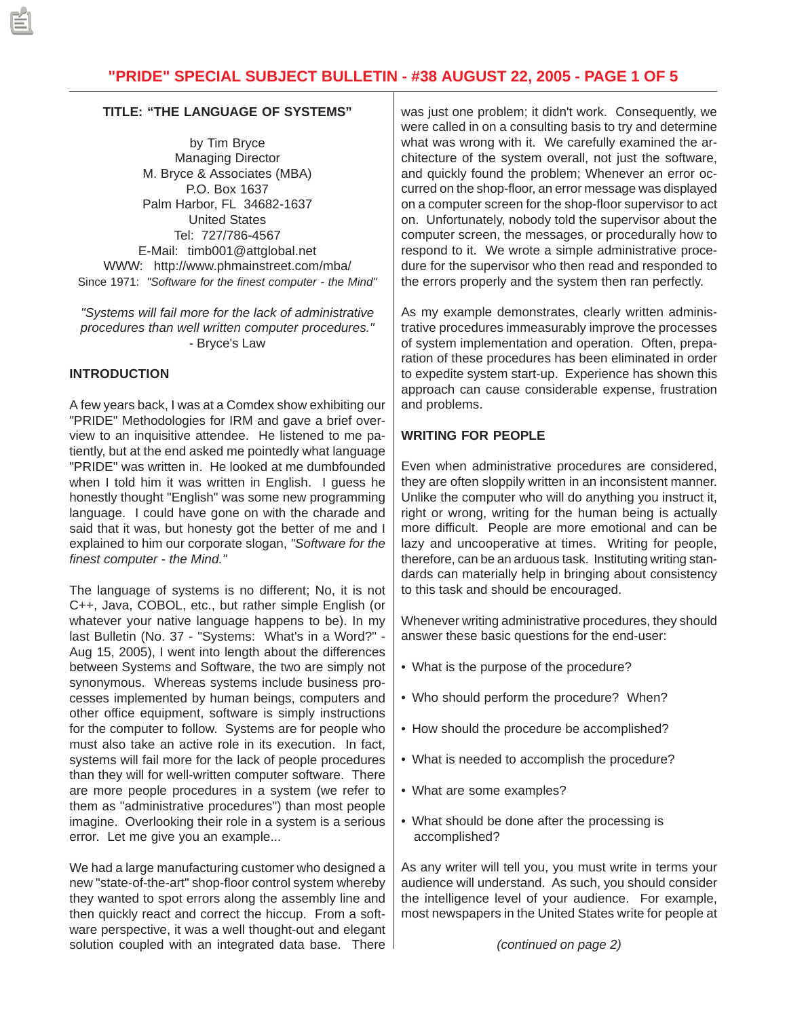## **TITLE: "THE LANGUAGE OF SYSTEMS"**

by Tim Bryce Managing Director M. Bryce & Associates (MBA) P.O. Box 1637 Palm Harbor, FL 34682-1637 United States Tel: 727/786-4567 E-Mail: timb001@attglobal.net WWW: http://www.phmainstreet.com/mba/ Since 1971: *"Software for the finest computer - the Mind"*

*"Systems will fail more for the lack of administrative procedures than well written computer procedures."* - Bryce's Law

## **INTRODUCTION**

A few years back, I was at a Comdex show exhibiting our "PRIDE" Methodologies for IRM and gave a brief overview to an inquisitive attendee. He listened to me patiently, but at the end asked me pointedly what language "PRIDE" was written in. He looked at me dumbfounded when I told him it was written in English. I guess he honestly thought "English" was some new programming language. I could have gone on with the charade and said that it was, but honesty got the better of me and I explained to him our corporate slogan, *"Software for the finest computer - the Mind."*

The language of systems is no different; No, it is not C++, Java, COBOL, etc., but rather simple English (or whatever your native language happens to be). In my last Bulletin (No. 37 - "Systems: What's in a Word?" - Aug 15, 2005), I went into length about the differences between Systems and Software, the two are simply not synonymous. Whereas systems include business processes implemented by human beings, computers and other office equipment, software is simply instructions for the computer to follow. Systems are for people who must also take an active role in its execution. In fact, systems will fail more for the lack of people procedures than they will for well-written computer software. There are more people procedures in a system (we refer to them as "administrative procedures") than most people imagine. Overlooking their role in a system is a serious error. Let me give you an example...

We had a large manufacturing customer who designed a new "state-of-the-art" shop-floor control system whereby they wanted to spot errors along the assembly line and then quickly react and correct the hiccup. From a software perspective, it was a well thought-out and elegant solution coupled with an integrated data base. There was just one problem; it didn't work. Consequently, we were called in on a consulting basis to try and determine what was wrong with it. We carefully examined the architecture of the system overall, not just the software, and quickly found the problem; Whenever an error occurred on the shop-floor, an error message was displayed on a computer screen for the shop-floor supervisor to act on. Unfortunately, nobody told the supervisor about the computer screen, the messages, or procedurally how to respond to it. We wrote a simple administrative procedure for the supervisor who then read and responded to the errors properly and the system then ran perfectly.

As my example demonstrates, clearly written administrative procedures immeasurably improve the processes of system implementation and operation. Often, preparation of these procedures has been eliminated in order to expedite system start-up. Experience has shown this approach can cause considerable expense, frustration and problems.

# **WRITING FOR PEOPLE**

Even when administrative procedures are considered, they are often sloppily written in an inconsistent manner. Unlike the computer who will do anything you instruct it, right or wrong, writing for the human being is actually more difficult. People are more emotional and can be lazy and uncooperative at times. Writing for people, therefore, can be an arduous task. Instituting writing standards can materially help in bringing about consistency to this task and should be encouraged.

Whenever writing administrative procedures, they should answer these basic questions for the end-user:

- What is the purpose of the procedure?
- Who should perform the procedure? When?
- How should the procedure be accomplished?
- What is needed to accomplish the procedure?
- What are some examples?
- What should be done after the processing is accomplished?

As any writer will tell you, you must write in terms your audience will understand. As such, you should consider the intelligence level of your audience. For example, most newspapers in the United States write for people at

*(continued on page 2)*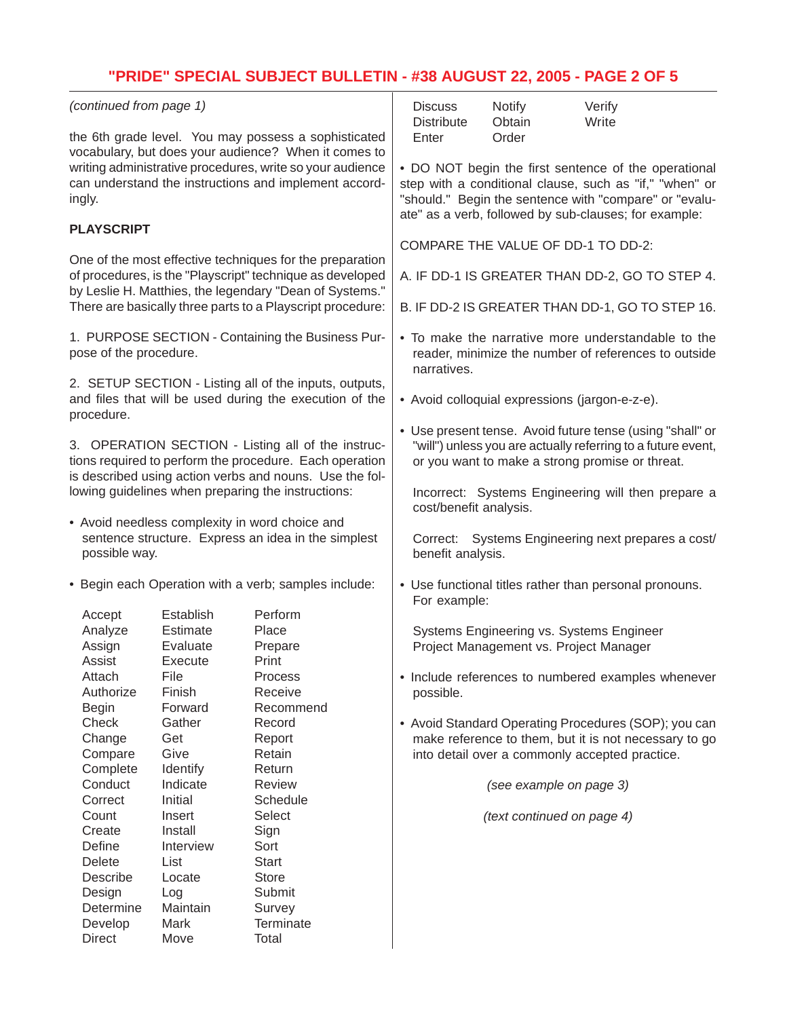# **"PRIDE" SPECIAL SUBJECT BULLETIN - #38 AUGUST 22, 2005 - PAGE 2 OF 5**

| (continued from page 1)                                                                                                                                                                                                                      |                                                                                                                        |                      | <b>Discuss</b><br><b>Distribute</b>                                                                                                                                                                                                | <b>Notify</b><br>Obtain                        | Verify<br>Write                                        |  |
|----------------------------------------------------------------------------------------------------------------------------------------------------------------------------------------------------------------------------------------------|------------------------------------------------------------------------------------------------------------------------|----------------------|------------------------------------------------------------------------------------------------------------------------------------------------------------------------------------------------------------------------------------|------------------------------------------------|--------------------------------------------------------|--|
| the 6th grade level. You may possess a sophisticated<br>vocabulary, but does your audience? When it comes to<br>writing administrative procedures, write so your audience<br>can understand the instructions and implement accord-<br>ingly. |                                                                                                                        |                      | Enter                                                                                                                                                                                                                              | Order                                          |                                                        |  |
|                                                                                                                                                                                                                                              |                                                                                                                        |                      | • DO NOT begin the first sentence of the operational<br>step with a conditional clause, such as "if," "when" or<br>"should." Begin the sentence with "compare" or "evalu-<br>ate" as a verb, followed by sub-clauses; for example: |                                                |                                                        |  |
| <b>PLAYSCRIPT</b>                                                                                                                                                                                                                            |                                                                                                                        |                      |                                                                                                                                                                                                                                    |                                                |                                                        |  |
| One of the most effective techniques for the preparation                                                                                                                                                                                     |                                                                                                                        |                      | COMPARE THE VALUE OF DD-1 TO DD-2:                                                                                                                                                                                                 |                                                |                                                        |  |
|                                                                                                                                                                                                                                              | of procedures, is the "Playscript" technique as developed                                                              |                      |                                                                                                                                                                                                                                    | A. IF DD-1 IS GREATER THAN DD-2, GO TO STEP 4. |                                                        |  |
| by Leslie H. Matthies, the legendary "Dean of Systems."<br>There are basically three parts to a Playscript procedure:                                                                                                                        |                                                                                                                        |                      | B. IF DD-2 IS GREATER THAN DD-1, GO TO STEP 16.                                                                                                                                                                                    |                                                |                                                        |  |
| 1. PURPOSE SECTION - Containing the Business Pur-<br>pose of the procedure.                                                                                                                                                                  |                                                                                                                        |                      | • To make the narrative more understandable to the<br>reader, minimize the number of references to outside<br>narratives.                                                                                                          |                                                |                                                        |  |
|                                                                                                                                                                                                                                              | 2. SETUP SECTION - Listing all of the inputs, outputs,<br>and files that will be used during the execution of the      |                      | • Avoid colloquial expressions (jargon-e-z-e).                                                                                                                                                                                     |                                                |                                                        |  |
| procedure.                                                                                                                                                                                                                                   |                                                                                                                        |                      |                                                                                                                                                                                                                                    |                                                |                                                        |  |
| 3. OPERATION SECTION - Listing all of the instruc-<br>tions required to perform the procedure. Each operation<br>is described using action verbs and nouns. Use the fol-                                                                     |                                                                                                                        |                      | • Use present tense. Avoid future tense (using "shall" or<br>"will") unless you are actually referring to a future event,<br>or you want to make a strong promise or threat.                                                       |                                                |                                                        |  |
| lowing guidelines when preparing the instructions:                                                                                                                                                                                           |                                                                                                                        |                      | cost/benefit analysis.                                                                                                                                                                                                             |                                                | Incorrect: Systems Engineering will then prepare a     |  |
|                                                                                                                                                                                                                                              | • Avoid needless complexity in word choice and<br>sentence structure. Express an idea in the simplest<br>possible way. |                      | Correct: Systems Engineering next prepares a cost/<br>benefit analysis.                                                                                                                                                            |                                                |                                                        |  |
|                                                                                                                                                                                                                                              | • Begin each Operation with a verb; samples include:                                                                   |                      | For example:                                                                                                                                                                                                                       |                                                | • Use functional titles rather than personal pronouns. |  |
| Accept                                                                                                                                                                                                                                       | Establish                                                                                                              | Perform              |                                                                                                                                                                                                                                    |                                                |                                                        |  |
| Analyze                                                                                                                                                                                                                                      | Estimate                                                                                                               | Place                |                                                                                                                                                                                                                                    | Systems Engineering vs. Systems Engineer       |                                                        |  |
| Assign<br>Assist                                                                                                                                                                                                                             | Evaluate<br>Execute                                                                                                    | Prepare<br>Print     |                                                                                                                                                                                                                                    | Project Management vs. Project Manager         |                                                        |  |
| Attach                                                                                                                                                                                                                                       | File                                                                                                                   | Process              |                                                                                                                                                                                                                                    |                                                | • Include references to numbered examples whenever     |  |
| Authorize                                                                                                                                                                                                                                    | Finish                                                                                                                 | Receive              | possible.                                                                                                                                                                                                                          |                                                |                                                        |  |
| <b>Begin</b>                                                                                                                                                                                                                                 | Forward                                                                                                                | Recommend            |                                                                                                                                                                                                                                    |                                                |                                                        |  |
| Check                                                                                                                                                                                                                                        | Gather                                                                                                                 | Record               |                                                                                                                                                                                                                                    |                                                | • Avoid Standard Operating Procedures (SOP); you can   |  |
| Change                                                                                                                                                                                                                                       | Get                                                                                                                    | Report               |                                                                                                                                                                                                                                    |                                                | make reference to them, but it is not necessary to go  |  |
| Compare                                                                                                                                                                                                                                      | Give                                                                                                                   | Retain               |                                                                                                                                                                                                                                    |                                                | into detail over a commonly accepted practice.         |  |
| Complete                                                                                                                                                                                                                                     | Identify                                                                                                               | Return               |                                                                                                                                                                                                                                    |                                                |                                                        |  |
| Conduct                                                                                                                                                                                                                                      | Indicate                                                                                                               | Review               |                                                                                                                                                                                                                                    | (see example on page 3)                        |                                                        |  |
| Correct                                                                                                                                                                                                                                      | Initial                                                                                                                | Schedule             |                                                                                                                                                                                                                                    |                                                |                                                        |  |
| Count                                                                                                                                                                                                                                        | Insert                                                                                                                 | Select               |                                                                                                                                                                                                                                    | (text continued on page 4)                     |                                                        |  |
| Create                                                                                                                                                                                                                                       | Install                                                                                                                | Sign                 |                                                                                                                                                                                                                                    |                                                |                                                        |  |
| Define<br>Delete                                                                                                                                                                                                                             | Interview<br>List                                                                                                      | Sort<br><b>Start</b> |                                                                                                                                                                                                                                    |                                                |                                                        |  |
| Describe                                                                                                                                                                                                                                     | Locate                                                                                                                 | <b>Store</b>         |                                                                                                                                                                                                                                    |                                                |                                                        |  |
| Design                                                                                                                                                                                                                                       | Log                                                                                                                    | Submit               |                                                                                                                                                                                                                                    |                                                |                                                        |  |
| Determine                                                                                                                                                                                                                                    | Maintain                                                                                                               | Survey               |                                                                                                                                                                                                                                    |                                                |                                                        |  |
| Develop                                                                                                                                                                                                                                      | Mark                                                                                                                   | Terminate            |                                                                                                                                                                                                                                    |                                                |                                                        |  |
| <b>Direct</b>                                                                                                                                                                                                                                | Move                                                                                                                   | Total                |                                                                                                                                                                                                                                    |                                                |                                                        |  |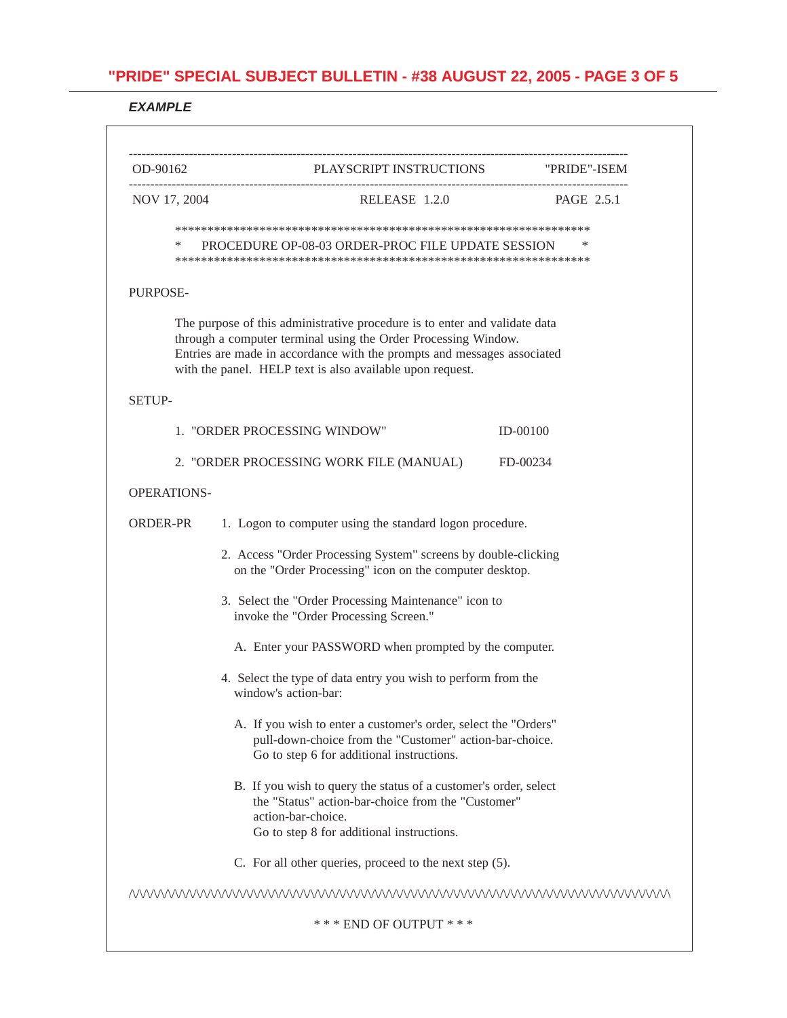### *EXAMPLE*

| OD-90162           | PLAYSCRIPT INSTRUCTIONS "PRIDE"-ISEM                                                                                                                                                                                                                                                 |                   |  |  |  |
|--------------------|--------------------------------------------------------------------------------------------------------------------------------------------------------------------------------------------------------------------------------------------------------------------------------------|-------------------|--|--|--|
| NOV 17, 2004       | RELEASE 1.2.0                                                                                                                                                                                                                                                                        | <b>PAGE 2.5.1</b> |  |  |  |
|                    |                                                                                                                                                                                                                                                                                      |                   |  |  |  |
| ∗                  | PROCEDURE OP-08-03 ORDER-PROC FILE UPDATE SESSION                                                                                                                                                                                                                                    | *                 |  |  |  |
| <b>PURPOSE-</b>    |                                                                                                                                                                                                                                                                                      |                   |  |  |  |
|                    | The purpose of this administrative procedure is to enter and validate data<br>through a computer terminal using the Order Processing Window.<br>Entries are made in accordance with the prompts and messages associated<br>with the panel. HELP text is also available upon request. |                   |  |  |  |
| <b>SETUP-</b>      |                                                                                                                                                                                                                                                                                      |                   |  |  |  |
|                    | 1. "ORDER PROCESSING WINDOW"                                                                                                                                                                                                                                                         | $ID-00100$        |  |  |  |
|                    | 2. "ORDER PROCESSING WORK FILE (MANUAL)                                                                                                                                                                                                                                              | FD-00234          |  |  |  |
| <b>OPERATIONS-</b> |                                                                                                                                                                                                                                                                                      |                   |  |  |  |
| ORDER-PR           | 1. Logon to computer using the standard logon procedure.                                                                                                                                                                                                                             |                   |  |  |  |
|                    | 2. Access "Order Processing System" screens by double-clicking<br>on the "Order Processing" icon on the computer desktop.                                                                                                                                                            |                   |  |  |  |
|                    | 3. Select the "Order Processing Maintenance" icon to<br>invoke the "Order Processing Screen."                                                                                                                                                                                        |                   |  |  |  |
|                    | A. Enter your PASSWORD when prompted by the computer.                                                                                                                                                                                                                                |                   |  |  |  |
|                    | 4. Select the type of data entry you wish to perform from the<br>window's action-bar:                                                                                                                                                                                                |                   |  |  |  |
|                    | A. If you wish to enter a customer's order, select the "Orders"<br>pull-down-choice from the "Customer" action-bar-choice.<br>Go to step 6 for additional instructions.                                                                                                              |                   |  |  |  |
|                    | B. If you wish to query the status of a customer's order, select<br>the "Status" action-bar-choice from the "Customer"<br>action-bar-choice.<br>Go to step 8 for additional instructions.                                                                                            |                   |  |  |  |
|                    | C. For all other queries, proceed to the next step (5).                                                                                                                                                                                                                              |                   |  |  |  |
|                    | MWWWWWWWWWWWWWWWWWWWWWWWWWWWWWWWWWWW                                                                                                                                                                                                                                                 |                   |  |  |  |
|                    | *** END OF OUTPUT ***                                                                                                                                                                                                                                                                |                   |  |  |  |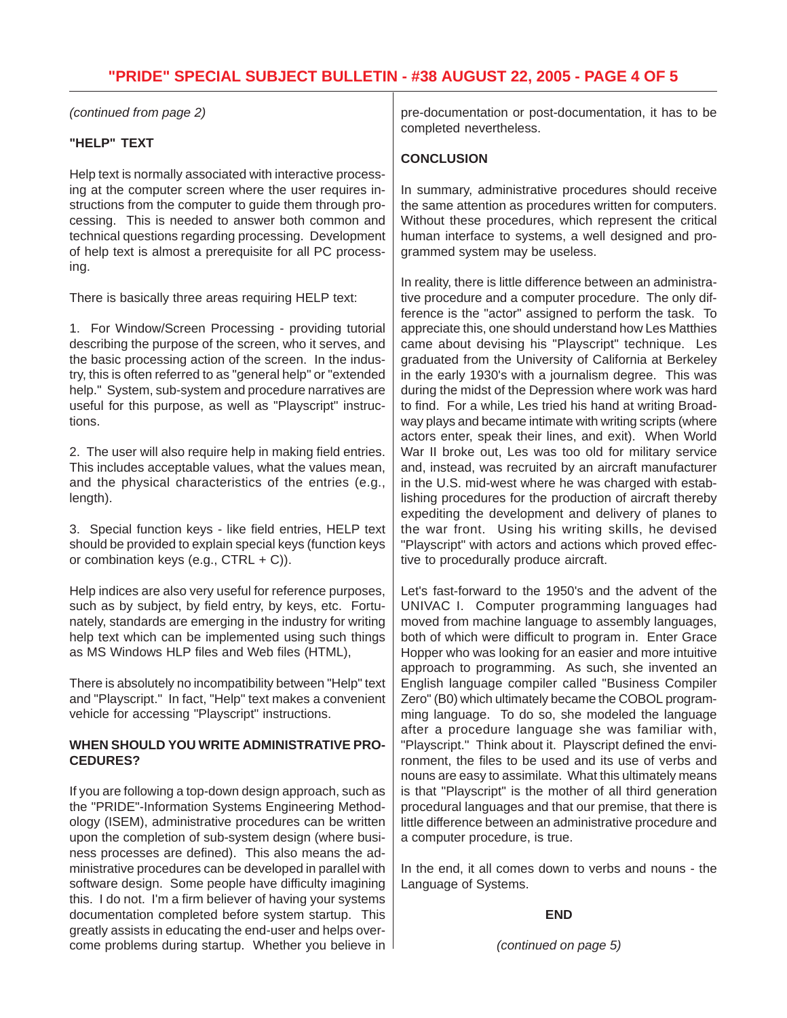# **"PRIDE" SPECIAL SUBJECT BULLETIN - #38 AUGUST 22, 2005 - PAGE 4 OF 5**

*(continued from page 2)*

#### **"HELP" TEXT**

Help text is normally associated with interactive processing at the computer screen where the user requires instructions from the computer to guide them through processing. This is needed to answer both common and technical questions regarding processing. Development of help text is almost a prerequisite for all PC processing.

There is basically three areas requiring HELP text:

1. For Window/Screen Processing - providing tutorial describing the purpose of the screen, who it serves, and the basic processing action of the screen. In the industry, this is often referred to as "general help" or "extended help." System, sub-system and procedure narratives are useful for this purpose, as well as "Playscript" instructions.

2. The user will also require help in making field entries. This includes acceptable values, what the values mean, and the physical characteristics of the entries (e.g., length).

3. Special function keys - like field entries, HELP text should be provided to explain special keys (function keys or combination keys (e.g., CTRL + C)).

Help indices are also very useful for reference purposes, such as by subject, by field entry, by keys, etc. Fortunately, standards are emerging in the industry for writing help text which can be implemented using such things as MS Windows HLP files and Web files (HTML),

There is absolutely no incompatibility between "Help" text and "Playscript." In fact, "Help" text makes a convenient vehicle for accessing "Playscript" instructions.

#### **WHEN SHOULD YOU WRITE ADMINISTRATIVE PRO-CEDURES?**

If you are following a top-down design approach, such as the "PRIDE"-Information Systems Engineering Methodology (ISEM), administrative procedures can be written upon the completion of sub-system design (where business processes are defined). This also means the administrative procedures can be developed in parallel with software design. Some people have difficulty imagining this. I do not. I'm a firm believer of having your systems documentation completed before system startup. This greatly assists in educating the end-user and helps overcome problems during startup. Whether you believe in pre-documentation or post-documentation, it has to be completed nevertheless.

## **CONCLUSION**

In summary, administrative procedures should receive the same attention as procedures written for computers. Without these procedures, which represent the critical human interface to systems, a well designed and programmed system may be useless.

In reality, there is little difference between an administrative procedure and a computer procedure. The only difference is the "actor" assigned to perform the task. To appreciate this, one should understand how Les Matthies came about devising his "Playscript" technique. Les graduated from the University of California at Berkeley in the early 1930's with a journalism degree. This was during the midst of the Depression where work was hard to find. For a while, Les tried his hand at writing Broadway plays and became intimate with writing scripts (where actors enter, speak their lines, and exit). When World War II broke out, Les was too old for military service and, instead, was recruited by an aircraft manufacturer in the U.S. mid-west where he was charged with establishing procedures for the production of aircraft thereby expediting the development and delivery of planes to the war front. Using his writing skills, he devised "Playscript" with actors and actions which proved effective to procedurally produce aircraft.

Let's fast-forward to the 1950's and the advent of the UNIVAC I. Computer programming languages had moved from machine language to assembly languages, both of which were difficult to program in. Enter Grace Hopper who was looking for an easier and more intuitive approach to programming. As such, she invented an English language compiler called "Business Compiler Zero" (B0) which ultimately became the COBOL programming language. To do so, she modeled the language after a procedure language she was familiar with, "Playscript." Think about it. Playscript defined the environment, the files to be used and its use of verbs and nouns are easy to assimilate. What this ultimately means is that "Playscript" is the mother of all third generation procedural languages and that our premise, that there is little difference between an administrative procedure and a computer procedure, is true.

In the end, it all comes down to verbs and nouns - the Language of Systems.

#### **END**

*(continued on page 5)*